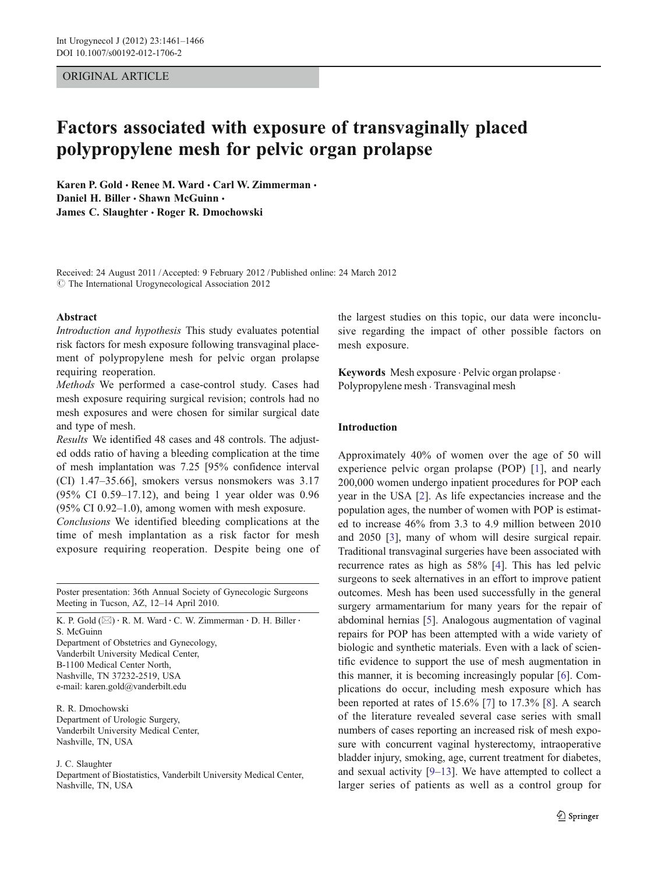#### ORIGINAL ARTICLE

# Factors associated with exposure of transvaginally placed polypropylene mesh for pelvic organ prolapse

Karen P. Gold • Renee M. Ward • Carl W. Zimmerman • Daniel H. Biller · Shawn McGuinn · James C. Slaughter · Roger R. Dmochowski

Received: 24 August 2011 /Accepted: 9 February 2012 / Published online: 24 March 2012  $\circ$  The International Urogynecological Association 2012

#### Abstract

Introduction and hypothesis This study evaluates potential risk factors for mesh exposure following transvaginal placement of polypropylene mesh for pelvic organ prolapse requiring reoperation.

Methods We performed a case-control study. Cases had mesh exposure requiring surgical revision; controls had no mesh exposures and were chosen for similar surgical date and type of mesh.

Results We identified 48 cases and 48 controls. The adjusted odds ratio of having a bleeding complication at the time of mesh implantation was 7.25 [95% confidence interval (CI) 1.47–35.66], smokers versus nonsmokers was 3.17 (95% CI 0.59–17.12), and being 1 year older was 0.96 (95% CI 0.92–1.0), among women with mesh exposure.

Conclusions We identified bleeding complications at the time of mesh implantation as a risk factor for mesh exposure requiring reoperation. Despite being one of

Poster presentation: 36th Annual Society of Gynecologic Surgeons Meeting in Tucson, AZ, 12–14 April 2010.

K. P. Gold  $(\boxtimes) \cdot$  R. M. Ward  $\cdot$  C. W. Zimmerman  $\cdot$  D. H. Biller  $\cdot$ S. McGuinn Department of Obstetrics and Gynecology, Vanderbilt University Medical Center, B-1100 Medical Center North, Nashville, TN 37232-2519, USA e-mail: karen.gold@vanderbilt.edu

R. R. Dmochowski Department of Urologic Surgery, Vanderbilt University Medical Center, Nashville, TN, USA

J. C. Slaughter

Department of Biostatistics, Vanderbilt University Medical Center, Nashville, TN, USA

the largest studies on this topic, our data were inconclusive regarding the impact of other possible factors on mesh exposure.

Keywords Mesh exposure . Pelvic organ prolapse . Polypropylene mesh . Transvaginal mesh

### Introduction

Approximately 40% of women over the age of 50 will experience pelvic organ prolapse (POP) [[1](#page-5-0)], and nearly 200,000 women undergo inpatient procedures for POP each year in the USA [[2\]](#page-5-0). As life expectancies increase and the population ages, the number of women with POP is estimated to increase 46% from 3.3 to 4.9 million between 2010 and 2050 [[3\]](#page-5-0), many of whom will desire surgical repair. Traditional transvaginal surgeries have been associated with recurrence rates as high as 58% [[4\]](#page-5-0). This has led pelvic surgeons to seek alternatives in an effort to improve patient outcomes. Mesh has been used successfully in the general surgery armamentarium for many years for the repair of abdominal hernias [\[5](#page-5-0)]. Analogous augmentation of vaginal repairs for POP has been attempted with a wide variety of biologic and synthetic materials. Even with a lack of scientific evidence to support the use of mesh augmentation in this manner, it is becoming increasingly popular [[6\]](#page-5-0). Complications do occur, including mesh exposure which has been reported at rates of 15.6% [\[7](#page-5-0)] to 17.3% [[8\]](#page-5-0). A search of the literature revealed several case series with small numbers of cases reporting an increased risk of mesh exposure with concurrent vaginal hysterectomy, intraoperative bladder injury, smoking, age, current treatment for diabetes, and sexual activity [[9](#page-5-0)–[13\]](#page-5-0). We have attempted to collect a larger series of patients as well as a control group for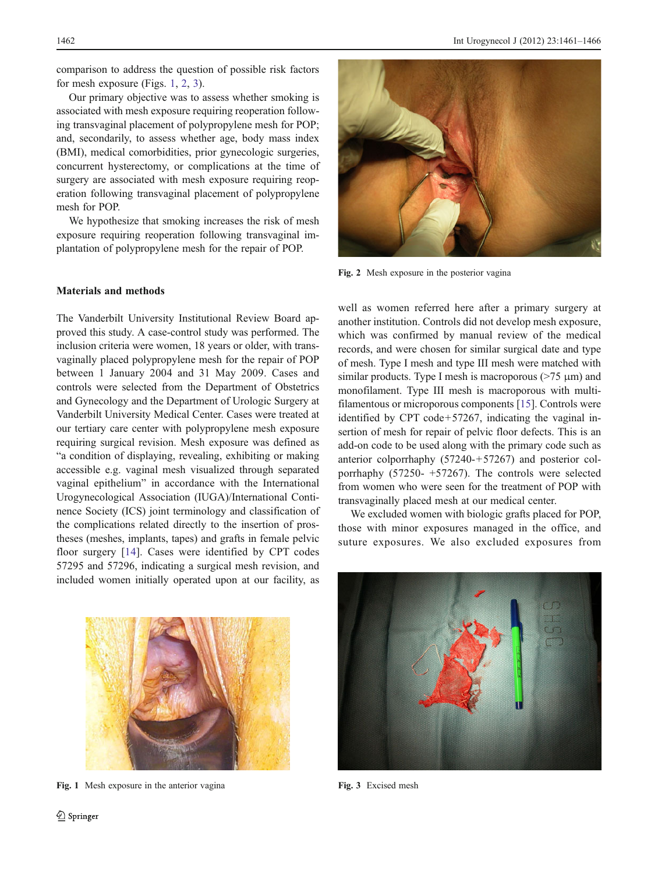comparison to address the question of possible risk factors for mesh exposure (Figs. 1, 2, 3).

Our primary objective was to assess whether smoking is associated with mesh exposure requiring reoperation following transvaginal placement of polypropylene mesh for POP; and, secondarily, to assess whether age, body mass index (BMI), medical comorbidities, prior gynecologic surgeries, concurrent hysterectomy, or complications at the time of surgery are associated with mesh exposure requiring reoperation following transvaginal placement of polypropylene mesh for POP.

We hypothesize that smoking increases the risk of mesh exposure requiring reoperation following transvaginal implantation of polypropylene mesh for the repair of POP.

#### Materials and methods

The Vanderbilt University Institutional Review Board approved this study. A case-control study was performed. The inclusion criteria were women, 18 years or older, with transvaginally placed polypropylene mesh for the repair of POP between 1 January 2004 and 31 May 2009. Cases and controls were selected from the Department of Obstetrics and Gynecology and the Department of Urologic Surgery at Vanderbilt University Medical Center. Cases were treated at our tertiary care center with polypropylene mesh exposure requiring surgical revision. Mesh exposure was defined as "a condition of displaying, revealing, exhibiting or making accessible e.g. vaginal mesh visualized through separated vaginal epithelium" in accordance with the International Urogynecological Association (IUGA)/International Continence Society (ICS) joint terminology and classification of the complications related directly to the insertion of prostheses (meshes, implants, tapes) and grafts in female pelvic floor surgery [\[14](#page-5-0)]. Cases were identified by CPT codes 57295 and 57296, indicating a surgical mesh revision, and included women initially operated upon at our facility, as



Fig. 1 Mesh exposure in the anterior vagina



Fig. 2 Mesh exposure in the posterior vagina

well as women referred here after a primary surgery at another institution. Controls did not develop mesh exposure, which was confirmed by manual review of the medical records, and were chosen for similar surgical date and type of mesh. Type I mesh and type III mesh were matched with similar products. Type I mesh is macroporous  $($ >75  $\mu$ m) and monofilament. Type III mesh is macroporous with multifilamentous or microporous components [[15\]](#page-5-0). Controls were identified by CPT code+57267, indicating the vaginal insertion of mesh for repair of pelvic floor defects. This is an add-on code to be used along with the primary code such as anterior colporrhaphy (57240-+57267) and posterior colporrhaphy (57250- +57267). The controls were selected from women who were seen for the treatment of POP with transvaginally placed mesh at our medical center.

We excluded women with biologic grafts placed for POP, those with minor exposures managed in the office, and suture exposures. We also excluded exposures from



Fig. 3 Excised mesh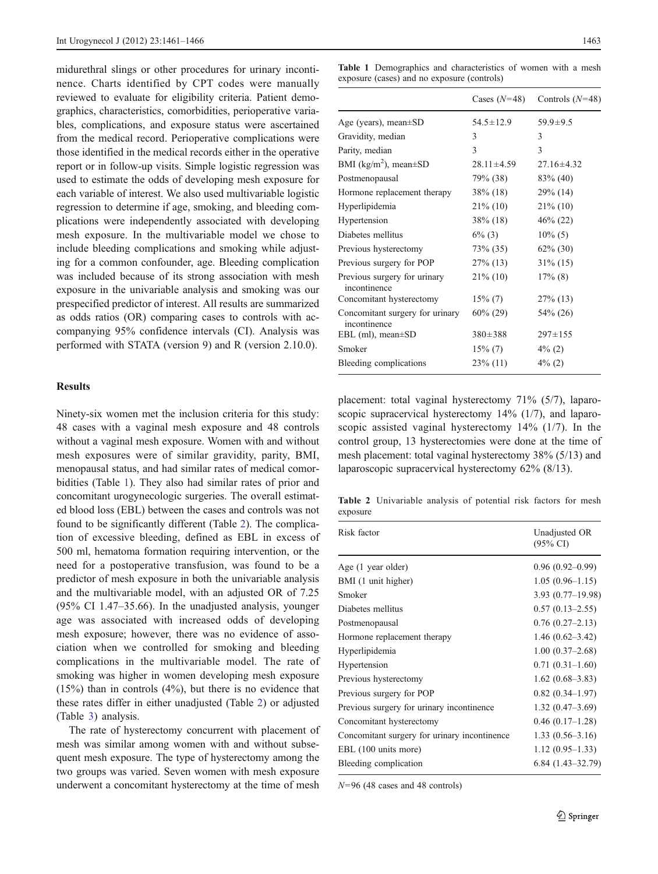midurethral slings or other procedures for urinary incontinence. Charts identified by CPT codes were manually reviewed to evaluate for eligibility criteria. Patient demographics, characteristics, comorbidities, perioperative variables, complications, and exposure status were ascertained from the medical record. Perioperative complications were those identified in the medical records either in the operative report or in follow-up visits. Simple logistic regression was used to estimate the odds of developing mesh exposure for each variable of interest. We also used multivariable logistic regression to determine if age, smoking, and bleeding complications were independently associated with developing mesh exposure. In the multivariable model we chose to include bleeding complications and smoking while adjusting for a common confounder, age. Bleeding complication was included because of its strong association with mesh exposure in the univariable analysis and smoking was our prespecified predictor of interest. All results are summarized as odds ratios (OR) comparing cases to controls with accompanying 95% confidence intervals (CI). Analysis was performed with STATA (version 9) and R (version 2.10.0).

### **Results**

Ninety-six women met the inclusion criteria for this study: 48 cases with a vaginal mesh exposure and 48 controls without a vaginal mesh exposure. Women with and without mesh exposures were of similar gravidity, parity, BMI, menopausal status, and had similar rates of medical comorbidities (Table 1). They also had similar rates of prior and concomitant urogynecologic surgeries. The overall estimated blood loss (EBL) between the cases and controls was not found to be significantly different (Table 2). The complication of excessive bleeding, defined as EBL in excess of 500 ml, hematoma formation requiring intervention, or the need for a postoperative transfusion, was found to be a predictor of mesh exposure in both the univariable analysis and the multivariable model, with an adjusted OR of 7.25 (95% CI 1.47–35.66). In the unadjusted analysis, younger age was associated with increased odds of developing mesh exposure; however, there was no evidence of association when we controlled for smoking and bleeding complications in the multivariable model. The rate of smoking was higher in women developing mesh exposure (15%) than in controls (4%), but there is no evidence that these rates differ in either unadjusted (Table 2) or adjusted (Table [3](#page-3-0)) analysis.

The rate of hysterectomy concurrent with placement of mesh was similar among women with and without subsequent mesh exposure. The type of hysterectomy among the two groups was varied. Seven women with mesh exposure underwent a concomitant hysterectomy at the time of mesh

Table 1 Demographics and characteristics of women with a mesh exposure (cases) and no exposure (controls)

|                                                 | Cases $(N=48)$   | Controls $(N=48)$ |
|-------------------------------------------------|------------------|-------------------|
| Age (years), mean $\pm SD$                      | $54.5 \pm 12.9$  | $59.9 \pm 9.5$    |
| Gravidity, median                               | 3                | 3                 |
| Parity, median                                  | 3                | 3                 |
| BMI ( $\text{kg/m}^2$ ), mean $\pm$ SD          | $28.11 \pm 4.59$ | $27.16 \pm 4.32$  |
| Postmenopausal                                  | 79% (38)         | 83\% (40)         |
| Hormone replacement therapy                     | 38% (18)         | 29\% (14)         |
| Hyperlipidemia                                  | 21\% (10)        | $21\%$ (10)       |
| Hypertension                                    | 38\% (18)        | 46% (22)          |
| Diabetes mellitus                               | $6\%$ (3)        | $10\%$ (5)        |
| Previous hysterectomy                           | 73% (35)         | $62\%$ (30)       |
| Previous surgery for POP                        | $27\%$ (13)      | $31\%$ (15)       |
| Previous surgery for urinary<br>incontinence    | $21\%$ (10)      | $17\%$ (8)        |
| Concomitant hysterectomy                        | $15\%$ (7)       | $27\%$ (13)       |
| Concomitant surgery for urinary<br>incontinence | $60\% (29)$      | 54\% (26)         |
| $EBL$ (ml), mean $\pm SD$                       | $380 \pm 388$    | $297 \pm 155$     |
| Smoker                                          | $15\%$ (7)       | $4\%$ (2)         |
| Bleeding complications                          | $23\%$ (11)      | $4\%$ (2)         |

placement: total vaginal hysterectomy 71% (5/7), laparoscopic supracervical hysterectomy 14% (1/7), and laparoscopic assisted vaginal hysterectomy 14% (1/7). In the control group, 13 hysterectomies were done at the time of mesh placement: total vaginal hysterectomy 38% (5/13) and laparoscopic supracervical hysterectomy 62% (8/13).

Table 2 Univariable analysis of potential risk factors for mesh exposure

| Unadjusted OR<br>$(95\% \text{ CI})$ |
|--------------------------------------|
| $0.96(0.92 - 0.99)$                  |
| $1.05(0.96-1.15)$                    |
| $3.93(0.77-19.98)$                   |
| $0.57(0.13-2.55)$                    |
| $0.76(0.27-2.13)$                    |
| $1.46(0.62 - 3.42)$                  |
| $1.00(0.37-2.68)$                    |
| $0.71(0.31-1.60)$                    |
| $1.62(0.68-3.83)$                    |
| $0.82(0.34 - 1.97)$                  |
| $1.32(0.47-3.69)$                    |
| $0.46(0.17-1.28)$                    |
| $1.33(0.56-3.16)$                    |
| $1.12(0.95-1.33)$                    |
| $6.84(1.43-32.79)$                   |
|                                      |

 $N=96$  (48 cases and 48 controls)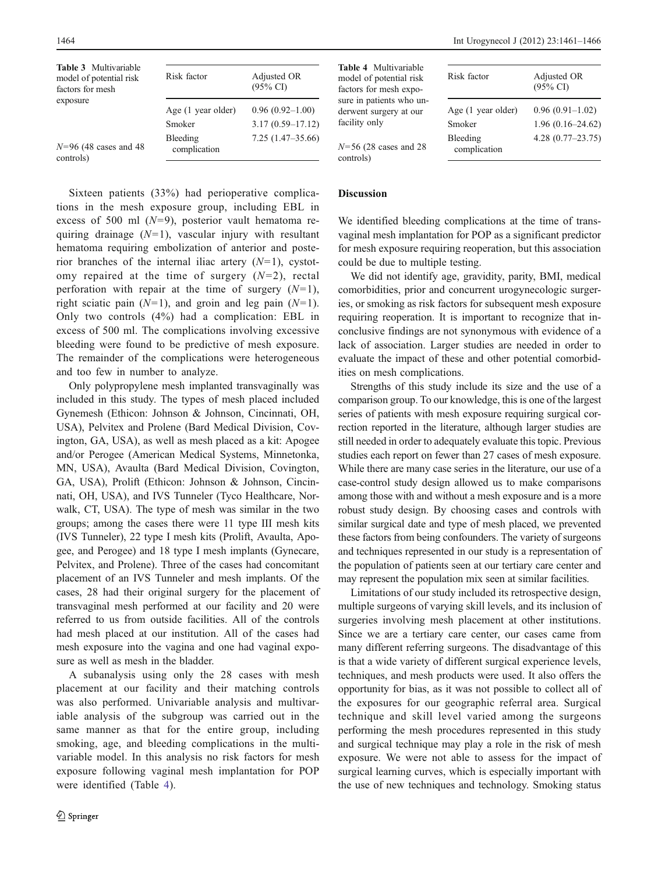<span id="page-3-0"></span>

| <b>Table 3</b> Multivariable<br>model of potential risk<br>factors for mesh | Risk factor              | Adjusted OR<br>$(95\% \text{ CI})$ |
|-----------------------------------------------------------------------------|--------------------------|------------------------------------|
| exposure                                                                    | Age (1 year older)       | $0.96(0.92 - 1.00)$                |
|                                                                             | Smoker                   | $3.17(0.59 - 17.12)$               |
| $N=96$ (48 cases and 48)<br>controls)                                       | Bleeding<br>complication | $7.25(1.47-35.66)$                 |

Sixteen patients (33%) had perioperative complications in the mesh exposure group, including EBL in excess of 500 ml  $(N=9)$ , posterior vault hematoma requiring drainage  $(N=1)$ , vascular injury with resultant hematoma requiring embolization of anterior and posterior branches of the internal iliac artery  $(N=1)$ , cystotomy repaired at the time of surgery  $(N=2)$ , rectal perforation with repair at the time of surgery  $(N=1)$ , right sciatic pain  $(N=1)$ , and groin and leg pain  $(N=1)$ . Only two controls (4%) had a complication: EBL in excess of 500 ml. The complications involving excessive bleeding were found to be predictive of mesh exposure. The remainder of the complications were heterogeneous and too few in number to analyze.

Only polypropylene mesh implanted transvaginally was included in this study. The types of mesh placed included Gynemesh (Ethicon: Johnson & Johnson, Cincinnati, OH, USA), Pelvitex and Prolene (Bard Medical Division, Covington, GA, USA), as well as mesh placed as a kit: Apogee and/or Perogee (American Medical Systems, Minnetonka, MN, USA), Avaulta (Bard Medical Division, Covington, GA, USA), Prolift (Ethicon: Johnson & Johnson, Cincinnati, OH, USA), and IVS Tunneler (Tyco Healthcare, Norwalk, CT, USA). The type of mesh was similar in the two groups; among the cases there were 11 type III mesh kits (IVS Tunneler), 22 type I mesh kits (Prolift, Avaulta, Apogee, and Perogee) and 18 type I mesh implants (Gynecare, Pelvitex, and Prolene). Three of the cases had concomitant placement of an IVS Tunneler and mesh implants. Of the cases, 28 had their original surgery for the placement of transvaginal mesh performed at our facility and 20 were referred to us from outside facilities. All of the controls had mesh placed at our institution. All of the cases had mesh exposure into the vagina and one had vaginal exposure as well as mesh in the bladder.

A subanalysis using only the 28 cases with mesh placement at our facility and their matching controls was also performed. Univariable analysis and multivariable analysis of the subgroup was carried out in the same manner as that for the entire group, including smoking, age, and bleeding complications in the multivariable model. In this analysis no risk factors for mesh exposure following vaginal mesh implantation for POP were identified (Table 4).

| Table 4 Multivariable<br>model of potential risk<br>factors for mesh expo- | Risk factor              | Adjusted OR<br>$(95\% \text{ CI})$ |
|----------------------------------------------------------------------------|--------------------------|------------------------------------|
| sure in patients who un-<br>derwent surgery at our                         | Age (1 year older)       | $0.96(0.91-1.02)$                  |
| facility only                                                              | Smoker                   | $1.96(0.16 - 24.62)$               |
| $N = 56$ (28 cases and 28)<br>controls)                                    | Bleeding<br>complication | $4.28(0.77-23.75)$                 |

## Discussion

 $N=56$  (28 cases controls)

We identified bleeding complications at the time of transvaginal mesh implantation for POP as a significant predictor for mesh exposure requiring reoperation, but this association could be due to multiple testing.

We did not identify age, gravidity, parity, BMI, medical comorbidities, prior and concurrent urogynecologic surgeries, or smoking as risk factors for subsequent mesh exposure requiring reoperation. It is important to recognize that inconclusive findings are not synonymous with evidence of a lack of association. Larger studies are needed in order to evaluate the impact of these and other potential comorbidities on mesh complications.

Strengths of this study include its size and the use of a comparison group. To our knowledge, this is one of the largest series of patients with mesh exposure requiring surgical correction reported in the literature, although larger studies are still needed in order to adequately evaluate this topic. Previous studies each report on fewer than 27 cases of mesh exposure. While there are many case series in the literature, our use of a case-control study design allowed us to make comparisons among those with and without a mesh exposure and is a more robust study design. By choosing cases and controls with similar surgical date and type of mesh placed, we prevented these factors from being confounders. The variety of surgeons and techniques represented in our study is a representation of the population of patients seen at our tertiary care center and may represent the population mix seen at similar facilities.

Limitations of our study included its retrospective design, multiple surgeons of varying skill levels, and its inclusion of surgeries involving mesh placement at other institutions. Since we are a tertiary care center, our cases came from many different referring surgeons. The disadvantage of this is that a wide variety of different surgical experience levels, techniques, and mesh products were used. It also offers the opportunity for bias, as it was not possible to collect all of the exposures for our geographic referral area. Surgical technique and skill level varied among the surgeons performing the mesh procedures represented in this study and surgical technique may play a role in the risk of mesh exposure. We were not able to assess for the impact of surgical learning curves, which is especially important with the use of new techniques and technology. Smoking status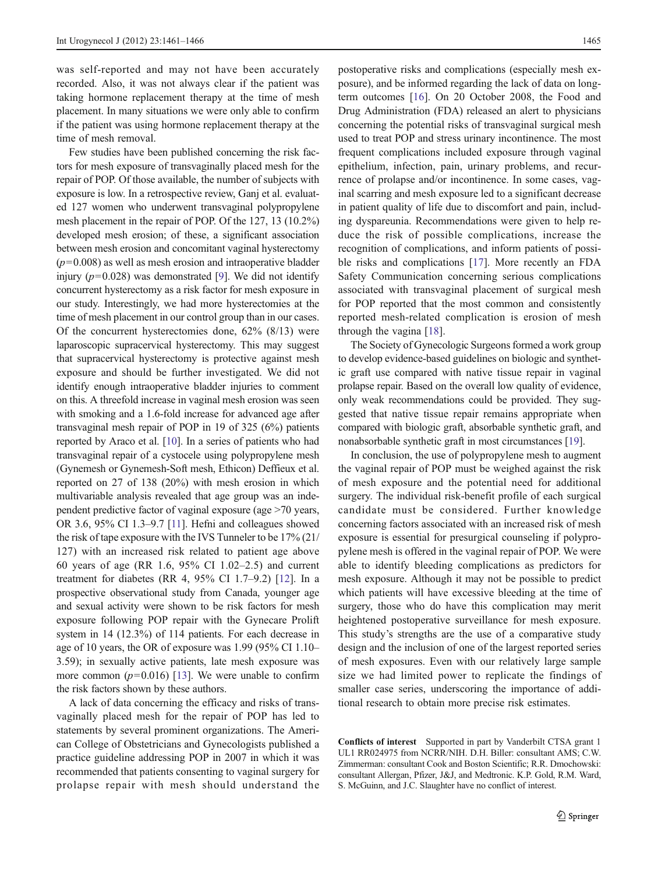was self-reported and may not have been accurately recorded. Also, it was not always clear if the patient was taking hormone replacement therapy at the time of mesh placement. In many situations we were only able to confirm if the patient was using hormone replacement therapy at the time of mesh removal.

Few studies have been published concerning the risk factors for mesh exposure of transvaginally placed mesh for the repair of POP. Of those available, the number of subjects with exposure is low. In a retrospective review, Ganj et al. evaluated 127 women who underwent transvaginal polypropylene mesh placement in the repair of POP. Of the 127, 13 (10.2%) developed mesh erosion; of these, a significant association between mesh erosion and concomitant vaginal hysterectomy  $(p=0.008)$  as well as mesh erosion and intraoperative bladder injury ( $p=0.028$ ) was demonstrated [\[9\]](#page-5-0). We did not identify concurrent hysterectomy as a risk factor for mesh exposure in our study. Interestingly, we had more hysterectomies at the time of mesh placement in our control group than in our cases. Of the concurrent hysterectomies done, 62% (8/13) were laparoscopic supracervical hysterectomy. This may suggest that supracervical hysterectomy is protective against mesh exposure and should be further investigated. We did not identify enough intraoperative bladder injuries to comment on this. A threefold increase in vaginal mesh erosion was seen with smoking and a 1.6-fold increase for advanced age after transvaginal mesh repair of POP in 19 of 325 (6%) patients reported by Araco et al. [\[10](#page-5-0)]. In a series of patients who had transvaginal repair of a cystocele using polypropylene mesh (Gynemesh or Gynemesh-Soft mesh, Ethicon) Deffieux et al. reported on 27 of 138 (20%) with mesh erosion in which multivariable analysis revealed that age group was an independent predictive factor of vaginal exposure (age >70 years, OR 3.6, 95% CI 1.3–9.7 [\[11](#page-5-0)]. Hefni and colleagues showed the risk of tape exposure with the IVS Tunneler to be 17% (21/ 127) with an increased risk related to patient age above 60 years of age (RR 1.6, 95% CI 1.02–2.5) and current treatment for diabetes (RR 4, 95% CI 1.7–9.2) [[12](#page-5-0)]. In a prospective observational study from Canada, younger age and sexual activity were shown to be risk factors for mesh exposure following POP repair with the Gynecare Prolift system in 14 (12.3%) of 114 patients. For each decrease in age of 10 years, the OR of exposure was 1.99 (95% CI 1.10– 3.59); in sexually active patients, late mesh exposure was more common ( $p=0.016$ ) [[13\]](#page-5-0). We were unable to confirm the risk factors shown by these authors.

A lack of data concerning the efficacy and risks of transvaginally placed mesh for the repair of POP has led to statements by several prominent organizations. The American College of Obstetricians and Gynecologists published a practice guideline addressing POP in 2007 in which it was recommended that patients consenting to vaginal surgery for prolapse repair with mesh should understand the postoperative risks and complications (especially mesh exposure), and be informed regarding the lack of data on longterm outcomes [\[16](#page-5-0)]. On 20 October 2008, the Food and Drug Administration (FDA) released an alert to physicians concerning the potential risks of transvaginal surgical mesh used to treat POP and stress urinary incontinence. The most frequent complications included exposure through vaginal epithelium, infection, pain, urinary problems, and recurrence of prolapse and/or incontinence. In some cases, vaginal scarring and mesh exposure led to a significant decrease in patient quality of life due to discomfort and pain, including dyspareunia. Recommendations were given to help reduce the risk of possible complications, increase the recognition of complications, and inform patients of possible risks and complications [\[17](#page-5-0)]. More recently an FDA Safety Communication concerning serious complications associated with transvaginal placement of surgical mesh for POP reported that the most common and consistently reported mesh-related complication is erosion of mesh through the vagina [[18\]](#page-5-0).

The Society of Gynecologic Surgeons formed a work group to develop evidence-based guidelines on biologic and synthetic graft use compared with native tissue repair in vaginal prolapse repair. Based on the overall low quality of evidence, only weak recommendations could be provided. They suggested that native tissue repair remains appropriate when compared with biologic graft, absorbable synthetic graft, and nonabsorbable synthetic graft in most circumstances [[19](#page-5-0)].

In conclusion, the use of polypropylene mesh to augment the vaginal repair of POP must be weighed against the risk of mesh exposure and the potential need for additional surgery. The individual risk-benefit profile of each surgical candidate must be considered. Further knowledge concerning factors associated with an increased risk of mesh exposure is essential for presurgical counseling if polypropylene mesh is offered in the vaginal repair of POP. We were able to identify bleeding complications as predictors for mesh exposure. Although it may not be possible to predict which patients will have excessive bleeding at the time of surgery, those who do have this complication may merit heightened postoperative surveillance for mesh exposure. This study's strengths are the use of a comparative study design and the inclusion of one of the largest reported series of mesh exposures. Even with our relatively large sample size we had limited power to replicate the findings of smaller case series, underscoring the importance of additional research to obtain more precise risk estimates.

Conflicts of interest Supported in part by Vanderbilt CTSA grant 1 UL1 RR024975 from NCRR/NIH. D.H. Biller: consultant AMS; C.W. Zimmerman: consultant Cook and Boston Scientific; R.R. Dmochowski: consultant Allergan, Pfizer, J&J, and Medtronic. K.P. Gold, R.M. Ward, S. McGuinn, and J.C. Slaughter have no conflict of interest.